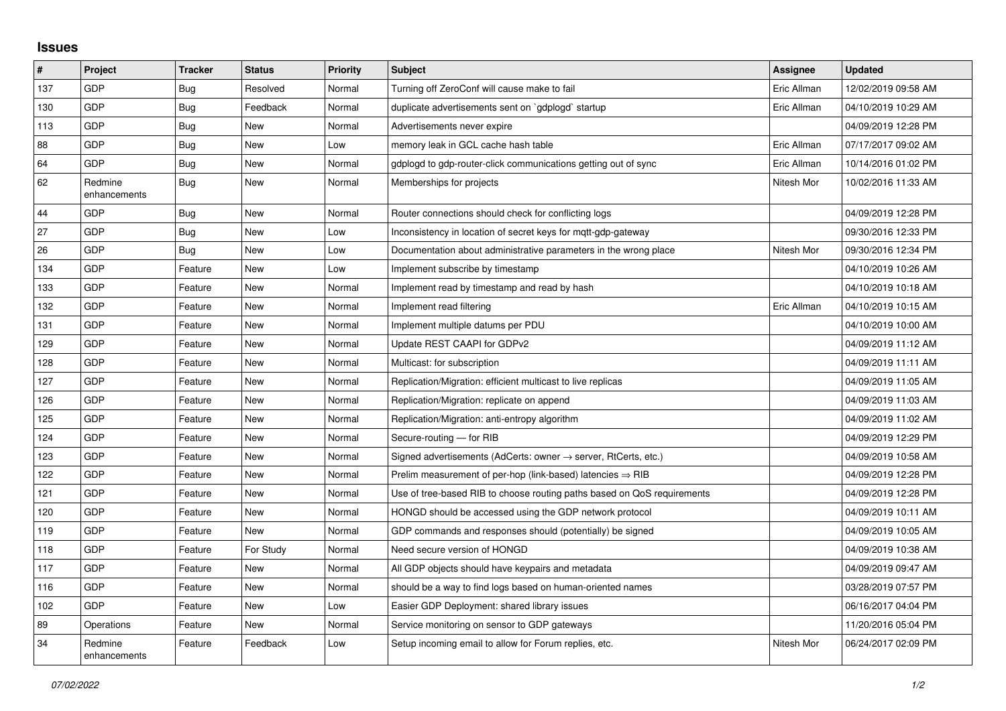## **Issues**

| $\sharp$ | <b>Project</b>          | <b>Tracker</b> | <b>Status</b> | <b>Priority</b> | <b>Subject</b>                                                             | Assignee    | <b>Updated</b>      |
|----------|-------------------------|----------------|---------------|-----------------|----------------------------------------------------------------------------|-------------|---------------------|
| 137      | GDP                     | Bug            | Resolved      | Normal          | Turning off ZeroConf will cause make to fail                               | Eric Allman | 12/02/2019 09:58 AM |
| 130      | <b>GDP</b>              | Bug            | Feedback      | Normal          | duplicate advertisements sent on `gdplogd` startup                         | Eric Allman | 04/10/2019 10:29 AM |
| 113      | <b>GDP</b>              | Bug            | <b>New</b>    | Normal          | Advertisements never expire                                                |             | 04/09/2019 12:28 PM |
| 88       | <b>GDP</b>              | Bug            | <b>New</b>    | Low             | memory leak in GCL cache hash table                                        | Eric Allman | 07/17/2017 09:02 AM |
| 64       | <b>GDP</b>              | <b>Bug</b>     | <b>New</b>    | Normal          | gdplogd to gdp-router-click communications getting out of sync             | Eric Allman | 10/14/2016 01:02 PM |
| 62       | Redmine<br>enhancements | Bug            | <b>New</b>    | Normal          | Memberships for projects                                                   | Nitesh Mor  | 10/02/2016 11:33 AM |
| 44       | <b>GDP</b>              | Bug            | <b>New</b>    | Normal          | Router connections should check for conflicting logs                       |             | 04/09/2019 12:28 PM |
| 27       | <b>GDP</b>              | <b>Bug</b>     | <b>New</b>    | Low             | Inconsistency in location of secret keys for mqtt-gdp-gateway              |             | 09/30/2016 12:33 PM |
| 26       | GDP                     | Bug            | New           | Low             | Documentation about administrative parameters in the wrong place           | Nitesh Mor  | 09/30/2016 12:34 PM |
| 134      | GDP                     | Feature        | <b>New</b>    | Low             | Implement subscribe by timestamp                                           |             | 04/10/2019 10:26 AM |
| 133      | <b>GDP</b>              | Feature        | <b>New</b>    | Normal          | Implement read by timestamp and read by hash                               |             | 04/10/2019 10:18 AM |
| 132      | <b>GDP</b>              | Feature        | <b>New</b>    | Normal          | Implement read filtering                                                   | Eric Allman | 04/10/2019 10:15 AM |
| 131      | GDP                     | Feature        | <b>New</b>    | Normal          | Implement multiple datums per PDU                                          |             | 04/10/2019 10:00 AM |
| 129      | <b>GDP</b>              | Feature        | <b>New</b>    | Normal          | Update REST CAAPI for GDPv2                                                |             | 04/09/2019 11:12 AM |
| 128      | <b>GDP</b>              | Feature        | <b>New</b>    | Normal          | Multicast: for subscription                                                |             | 04/09/2019 11:11 AM |
| 127      | GDP                     | Feature        | <b>New</b>    | Normal          | Replication/Migration: efficient multicast to live replicas                |             | 04/09/2019 11:05 AM |
| 126      | <b>GDP</b>              | Feature        | <b>New</b>    | Normal          | Replication/Migration: replicate on append                                 |             | 04/09/2019 11:03 AM |
| 125      | <b>GDP</b>              | Feature        | New           | Normal          | Replication/Migration: anti-entropy algorithm                              |             | 04/09/2019 11:02 AM |
| 124      | GDP                     | Feature        | <b>New</b>    | Normal          | Secure-routing - for RIB                                                   |             | 04/09/2019 12:29 PM |
| 123      | <b>GDP</b>              | Feature        | <b>New</b>    | Normal          | Signed advertisements (AdCerts: owner $\rightarrow$ server, RtCerts, etc.) |             | 04/09/2019 10:58 AM |
| 122      | <b>GDP</b>              | Feature        | <b>New</b>    | Normal          | Prelim measurement of per-hop (link-based) latencies $\Rightarrow$ RIB     |             | 04/09/2019 12:28 PM |
| 121      | <b>GDP</b>              | Feature        | <b>New</b>    | Normal          | Use of tree-based RIB to choose routing paths based on QoS requirements    |             | 04/09/2019 12:28 PM |
| 120      | <b>GDP</b>              | Feature        | <b>New</b>    | Normal          | HONGD should be accessed using the GDP network protocol                    |             | 04/09/2019 10:11 AM |
| 119      | <b>GDP</b>              | Feature        | <b>New</b>    | Normal          | GDP commands and responses should (potentially) be signed                  |             | 04/09/2019 10:05 AM |
| 118      | GDP                     | Feature        | For Study     | Normal          | Need secure version of HONGD                                               |             | 04/09/2019 10:38 AM |
| 117      | <b>GDP</b>              | Feature        | <b>New</b>    | Normal          | All GDP objects should have keypairs and metadata                          |             | 04/09/2019 09:47 AM |
| 116      | <b>GDP</b>              | Feature        | <b>New</b>    | Normal          | should be a way to find logs based on human-oriented names                 |             | 03/28/2019 07:57 PM |
| 102      | GDP                     | Feature        | <b>New</b>    | Low             | Easier GDP Deployment: shared library issues                               |             | 06/16/2017 04:04 PM |
| 89       | Operations              | Feature        | <b>New</b>    | Normal          | Service monitoring on sensor to GDP gateways                               |             | 11/20/2016 05:04 PM |
| 34       | Redmine<br>enhancements | Feature        | Feedback      | Low             | Setup incoming email to allow for Forum replies, etc.                      | Nitesh Mor  | 06/24/2017 02:09 PM |